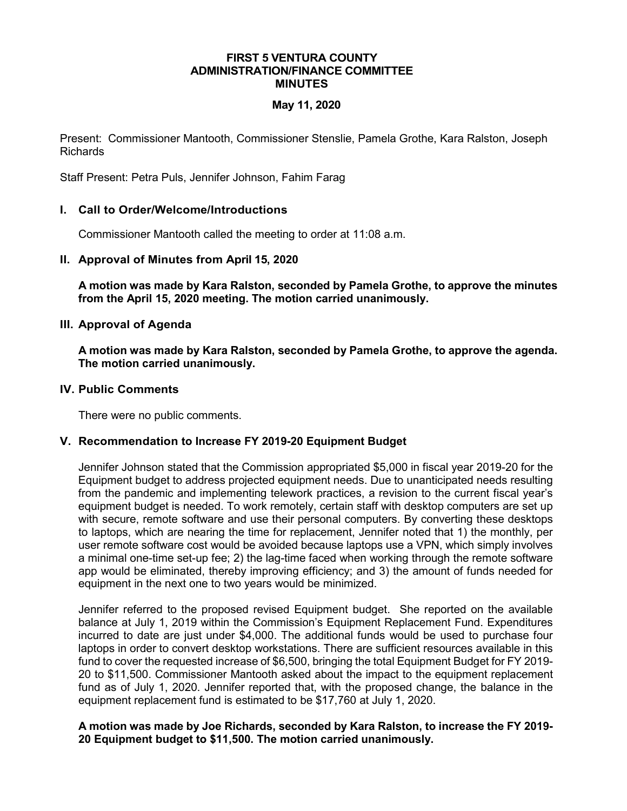#### **FIRST 5 VENTURA COUNTY ADMINISTRATION/FINANCE COMMITTEE MINUTES**

# **May 11, 2020**

Present: Commissioner Mantooth, Commissioner Stenslie, Pamela Grothe, Kara Ralston, Joseph Richards

Staff Present: Petra Puls, Jennifer Johnson, Fahim Farag

# **I. Call to Order/Welcome/Introductions**

Commissioner Mantooth called the meeting to order at 11:08 a.m.

### **II. Approval of Minutes from April 15, 2020**

**A motion was made by Kara Ralston, seconded by Pamela Grothe, to approve the minutes from the April 15, 2020 meeting. The motion carried unanimously.**

### **III. Approval of Agenda**

**A motion was made by Kara Ralston, seconded by Pamela Grothe, to approve the agenda. The motion carried unanimously.**

### **IV. Public Comments**

There were no public comments.

### **V. Recommendation to Increase FY 2019-20 Equipment Budget**

Jennifer Johnson stated that the Commission appropriated \$5,000 in fiscal year 2019-20 for the Equipment budget to address projected equipment needs. Due to unanticipated needs resulting from the pandemic and implementing telework practices, a revision to the current fiscal year's equipment budget is needed. To work remotely, certain staff with desktop computers are set up with secure, remote software and use their personal computers. By converting these desktops to laptops, which are nearing the time for replacement, Jennifer noted that 1) the monthly, per user remote software cost would be avoided because laptops use a VPN, which simply involves a minimal one-time set-up fee; 2) the lag-time faced when working through the remote software app would be eliminated, thereby improving efficiency; and 3) the amount of funds needed for equipment in the next one to two years would be minimized.

Jennifer referred to the proposed revised Equipment budget. She reported on the available balance at July 1, 2019 within the Commission's Equipment Replacement Fund. Expenditures incurred to date are just under \$4,000. The additional funds would be used to purchase four laptops in order to convert desktop workstations. There are sufficient resources available in this fund to cover the requested increase of \$6,500, bringing the total Equipment Budget for FY 2019- 20 to \$11,500. Commissioner Mantooth asked about the impact to the equipment replacement fund as of July 1, 2020. Jennifer reported that, with the proposed change, the balance in the equipment replacement fund is estimated to be \$17,760 at July 1, 2020.

### **A motion was made by Joe Richards, seconded by Kara Ralston, to increase the FY 2019- 20 Equipment budget to \$11,500. The motion carried unanimously.**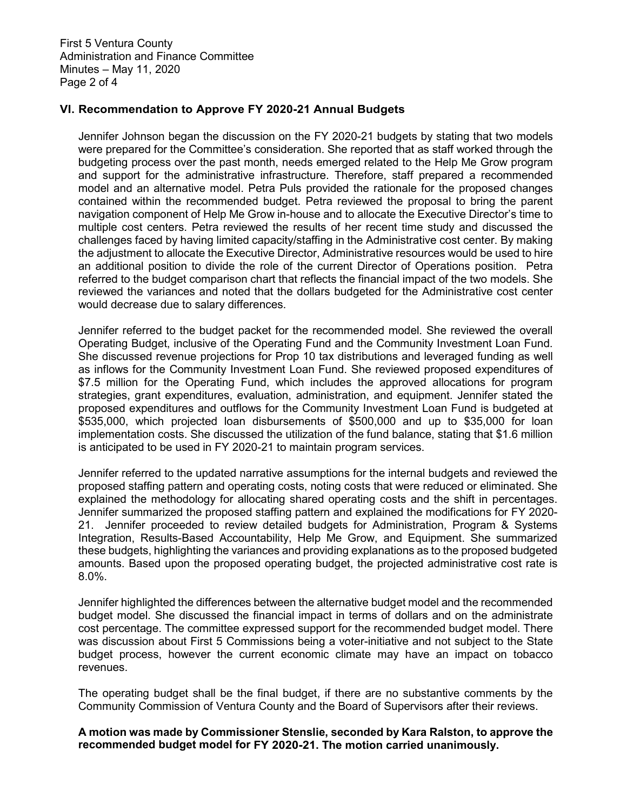First 5 Ventura County Administration and Finance Committee Minutes – May 11, 2020 Page 2 of 4

# **VI. Recommendation to Approve FY 2020-21 Annual Budgets**

Jennifer Johnson began the discussion on the FY 2020-21 budgets by stating that two models were prepared for the Committee's consideration. She reported that as staff worked through the budgeting process over the past month, needs emerged related to the Help Me Grow program and support for the administrative infrastructure. Therefore, staff prepared a recommended model and an alternative model. Petra Puls provided the rationale for the proposed changes contained within the recommended budget. Petra reviewed the proposal to bring the parent navigation component of Help Me Grow in-house and to allocate the Executive Director's time to multiple cost centers. Petra reviewed the results of her recent time study and discussed the challenges faced by having limited capacity/staffing in the Administrative cost center. By making the adjustment to allocate the Executive Director, Administrative resources would be used to hire an additional position to divide the role of the current Director of Operations position. Petra referred to the budget comparison chart that reflects the financial impact of the two models. She reviewed the variances and noted that the dollars budgeted for the Administrative cost center would decrease due to salary differences.

Jennifer referred to the budget packet for the recommended model. She reviewed the overall Operating Budget, inclusive of the Operating Fund and the Community Investment Loan Fund. She discussed revenue projections for Prop 10 tax distributions and leveraged funding as well as inflows for the Community Investment Loan Fund. She reviewed proposed expenditures of \$7.5 million for the Operating Fund, which includes the approved allocations for program strategies, grant expenditures, evaluation, administration, and equipment. Jennifer stated the proposed expenditures and outflows for the Community Investment Loan Fund is budgeted at \$535,000, which projected loan disbursements of \$500,000 and up to \$35,000 for loan implementation costs. She discussed the utilization of the fund balance, stating that \$1.6 million is anticipated to be used in FY 2020-21 to maintain program services.

Jennifer referred to the updated narrative assumptions for the internal budgets and reviewed the proposed staffing pattern and operating costs, noting costs that were reduced or eliminated. She explained the methodology for allocating shared operating costs and the shift in percentages. Jennifer summarized the proposed staffing pattern and explained the modifications for FY 2020- 21. Jennifer proceeded to review detailed budgets for Administration, Program & Systems Integration, Results-Based Accountability, Help Me Grow, and Equipment. She summarized these budgets, highlighting the variances and providing explanations as to the proposed budgeted amounts. Based upon the proposed operating budget, the projected administrative cost rate is 8.0%.

Jennifer highlighted the differences between the alternative budget model and the recommended budget model. She discussed the financial impact in terms of dollars and on the administrate cost percentage. The committee expressed support for the recommended budget model. There was discussion about First 5 Commissions being a voter-initiative and not subject to the State budget process, however the current economic climate may have an impact on tobacco revenues.

The operating budget shall be the final budget, if there are no substantive comments by the Community Commission of Ventura County and the Board of Supervisors after their reviews.

### **A motion was made by Commissioner Stenslie, seconded by Kara Ralston, to approve the recommended budget model for FY 2020-21. The motion carried unanimously.**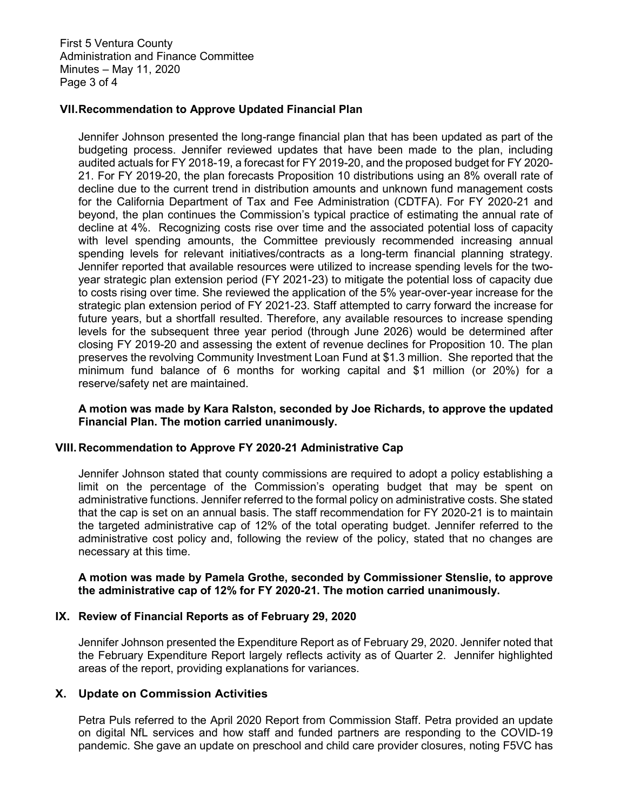First 5 Ventura County Administration and Finance Committee Minutes – May 11, 2020 Page 3 of 4

### **VII.Recommendation to Approve Updated Financial Plan**

Jennifer Johnson presented the long-range financial plan that has been updated as part of the budgeting process. Jennifer reviewed updates that have been made to the plan, including audited actuals for FY 2018-19, a forecast for FY 2019-20, and the proposed budget for FY 2020- 21. For FY 2019-20, the plan forecasts Proposition 10 distributions using an 8% overall rate of decline due to the current trend in distribution amounts and unknown fund management costs for the California Department of Tax and Fee Administration (CDTFA). For FY 2020-21 and beyond, the plan continues the Commission's typical practice of estimating the annual rate of decline at 4%. Recognizing costs rise over time and the associated potential loss of capacity with level spending amounts, the Committee previously recommended increasing annual spending levels for relevant initiatives/contracts as a long-term financial planning strategy. Jennifer reported that available resources were utilized to increase spending levels for the twoyear strategic plan extension period (FY 2021-23) to mitigate the potential loss of capacity due to costs rising over time. She reviewed the application of the 5% year-over-year increase for the strategic plan extension period of FY 2021-23. Staff attempted to carry forward the increase for future years, but a shortfall resulted. Therefore, any available resources to increase spending levels for the subsequent three year period (through June 2026) would be determined after closing FY 2019-20 and assessing the extent of revenue declines for Proposition 10. The plan preserves the revolving Community Investment Loan Fund at \$1.3 million. She reported that the minimum fund balance of 6 months for working capital and \$1 million (or 20%) for a reserve/safety net are maintained.

### **A motion was made by Kara Ralston, seconded by Joe Richards, to approve the updated Financial Plan. The motion carried unanimously.**

### **VIII.Recommendation to Approve FY 2020-21 Administrative Cap**

Jennifer Johnson stated that county commissions are required to adopt a policy establishing a limit on the percentage of the Commission's operating budget that may be spent on administrative functions. Jennifer referred to the formal policy on administrative costs. She stated that the cap is set on an annual basis. The staff recommendation for FY 2020-21 is to maintain the targeted administrative cap of 12% of the total operating budget. Jennifer referred to the administrative cost policy and, following the review of the policy, stated that no changes are necessary at this time.

### **A motion was made by Pamela Grothe, seconded by Commissioner Stenslie, to approve the administrative cap of 12% for FY 2020-21. The motion carried unanimously.**

### **IX. Review of Financial Reports as of February 29, 2020**

Jennifer Johnson presented the Expenditure Report as of February 29, 2020. Jennifer noted that the February Expenditure Report largely reflects activity as of Quarter 2. Jennifer highlighted areas of the report, providing explanations for variances.

### **X. Update on Commission Activities**

Petra Puls referred to the April 2020 Report from Commission Staff. Petra provided an update on digital NfL services and how staff and funded partners are responding to the COVID-19 pandemic. She gave an update on preschool and child care provider closures, noting F5VC has